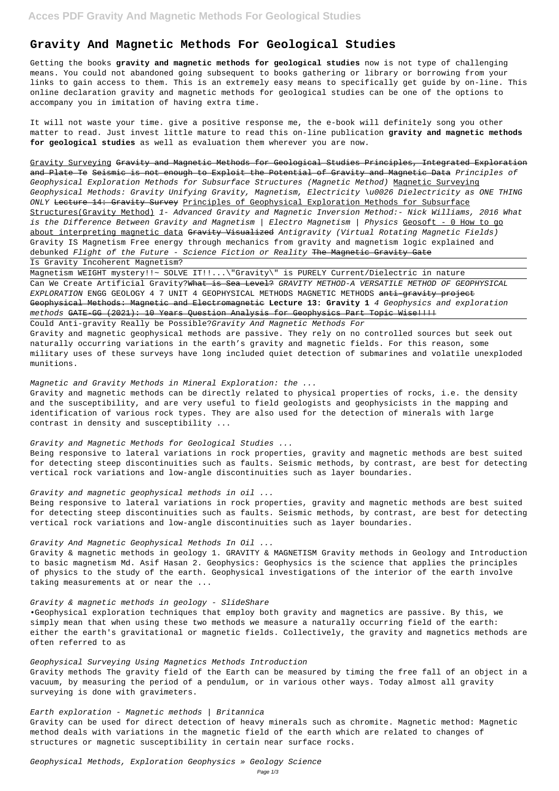# **Gravity And Magnetic Methods For Geological Studies**

Getting the books **gravity and magnetic methods for geological studies** now is not type of challenging means. You could not abandoned going subsequent to books gathering or library or borrowing from your links to gain access to them. This is an extremely easy means to specifically get guide by on-line. This online declaration gravity and magnetic methods for geological studies can be one of the options to accompany you in imitation of having extra time.

It will not waste your time. give a positive response me, the e-book will definitely song you other matter to read. Just invest little mature to read this on-line publication **gravity and magnetic methods for geological studies** as well as evaluation them wherever you are now.

Gravity Surveying Gravity and Magnetic Methods for Geological Studies Principles, Integrated Exploration and Plate Te Seismic is not enough to Exploit the Potential of Gravity and Magnetic Data Principles of Geophysical Exploration Methods for Subsurface Structures (Magnetic Method) Magnetic Surveying Geophysical Methods: Gravity Unifying Gravity, Magnetism, Electricity \u0026 Dielectricity as ONE THING ONLY <del>Lecture 14: Gravity Survey</del> Principles of Geophysical Exploration Methods for Subsurface Structures(Gravity Method) 1- Advanced Gravity and Magnetic Inversion Method:- Nick Williams, 2016 What is the Difference Between Gravity and Magnetism | Electro Magnetism | Physics Geosoft - 0 How to go about interpreting magnetic data Gravity Visualized Antigravity (Virtual Rotating Magnetic Fields) Gravity IS Magnetism Free energy through mechanics from gravity and magnetism logic explained and debunked Flight of the Future - Science Fiction or Reality The Magnetic Gravity Gate Is Gravity Incoherent Magnetism?

Magnetism WEIGHT mystery!!~ SOLVE IT!!...\"Gravity\" is PURELY Current/Dielectric in nature Can We Create Artificial Gravity? What is Sea Level? GRAVITY METHOD-A VERSATILE METHOD OF GEOPHYSICAL EXPLORATION ENGG GEOLOGY 4 7 UNIT 4 GEOPHYSICAL METHODS MAGNETIC METHODS anti-gravity project Geophysical Methods: Magnetic and Electromagnetic **Lecture 13: Gravity 1** 4 Geophysics and exploration methods GATE-GG (2021): 10 Years Question Analysis for Geophysics Part Topic Wise!!!!

Earth exploration - Magnetic methods  $\int$  Britannica Gravity can be used for direct detection of heavy minerals such as chromite. Magnetic method: Magnetic

Could Anti-gravity Really be Possible?Gravity And Magnetic Methods For Gravity and magnetic geophysical methods are passive. They rely on no controlled sources but seek out naturally occurring variations in the earth's gravity and magnetic fields. For this reason, some military uses of these surveys have long included quiet detection of submarines and volatile unexploded munitions.

#### Magnetic and Gravity Methods in Mineral Exploration: the ...

Gravity and magnetic methods can be directly related to physical properties of rocks, i.e. the density and the susceptibility, and are very useful to field geologists and geophysicists in the mapping and identification of various rock types. They are also used for the detection of minerals with large contrast in density and susceptibility ...

Gravity and Magnetic Methods for Geological Studies ...

Being responsive to lateral variations in rock properties, gravity and magnetic methods are best suited for detecting steep discontinuities such as faults. Seismic methods, by contrast, are best for detecting vertical rock variations and low-angle discontinuities such as layer boundaries.

## Gravity and magnetic geophysical methods in oil ...

Being responsive to lateral variations in rock properties, gravity and magnetic methods are best suited for detecting steep discontinuities such as faults. Seismic methods, by contrast, are best for detecting vertical rock variations and low-angle discontinuities such as layer boundaries.

Gravity And Magnetic Geophysical Methods In Oil ...

Gravity & magnetic methods in geology 1. GRAVITY & MAGNETISM Gravity methods in Geology and Introduction to basic magnetism Md. Asif Hasan 2. Geophysics: Geophysics is the science that applies the principles of physics to the study of the earth. Geophysical investigations of the interior of the earth involve taking measurements at or near the ...

### Gravity & magnetic methods in geology - SlideShare

•Geophysical exploration techniques that employ both gravity and magnetics are passive. By this, we simply mean that when using these two methods we measure a naturally occurring field of the earth: either the earth's gravitational or magnetic fields. Collectively, the gravity and magnetics methods are often referred to as

#### Geophysical Surveying Using Magnetics Methods Introduction

Gravity methods The gravity field of the Earth can be measured by timing the free fall of an object in a vacuum, by measuring the period of a pendulum, or in various other ways. Today almost all gravity surveying is done with gravimeters.

method deals with variations in the magnetic field of the earth which are related to changes of structures or magnetic susceptibility in certain near surface rocks.

Geophysical Methods, Exploration Geophysics » Geology Science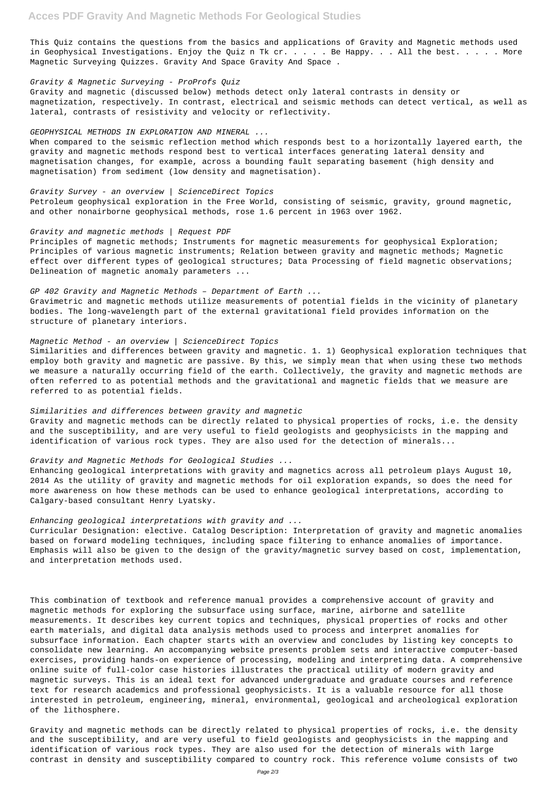This Quiz contains the questions from the basics and applications of Gravity and Magnetic methods used in Geophysical Investigations. Enjoy the Quiz n Tk cr. . . . Be Happy. . . All the best. . . . . More Magnetic Surveying Quizzes. Gravity And Space Gravity And Space .

#### Gravity & Magnetic Surveying - ProProfs Quiz

Gravity and magnetic (discussed below) methods detect only lateral contrasts in density or magnetization, respectively. In contrast, electrical and seismic methods can detect vertical, as well as lateral, contrasts of resistivity and velocity or reflectivity.

### GEOPHYSICAL METHODS IN EXPLORATION AND MINERAL ...

Principles of magnetic methods; Instruments for magnetic measurements for geophysical Exploration; Principles of various magnetic instruments; Relation between gravity and magnetic methods; Magnetic effect over different types of geological structures; Data Processing of field magnetic observations; Delineation of magnetic anomaly parameters ...

When compared to the seismic reflection method which responds best to a horizontally layered earth, the gravity and magnetic methods respond best to vertical interfaces generating lateral density and magnetisation changes, for example, across a bounding fault separating basement (high density and magnetisation) from sediment (low density and magnetisation).

#### Gravity Survey - an overview | ScienceDirect Topics

Petroleum geophysical exploration in the Free World, consisting of seismic, gravity, ground magnetic, and other nonairborne geophysical methods, rose 1.6 percent in 1963 over 1962.

#### Gravity and magnetic methods | Request PDF

#### GP 402 Gravity and Magnetic Methods – Department of Earth ...

Gravimetric and magnetic methods utilize measurements of potential fields in the vicinity of planetary bodies. The long-wavelength part of the external gravitational field provides information on the structure of planetary interiors.

#### Magnetic Method - an overview | ScienceDirect Topics

Similarities and differences between gravity and magnetic. 1. 1) Geophysical exploration techniques that employ both gravity and magnetic are passive. By this, we simply mean that when using these two methods we measure a naturally occurring field of the earth. Collectively, the gravity and magnetic methods are often referred to as potential methods and the gravitational and magnetic fields that we measure are referred to as potential fields.

#### Similarities and differences between gravity and magnetic

Gravity and magnetic methods can be directly related to physical properties of rocks, i.e. the density and the susceptibility, and are very useful to field geologists and geophysicists in the mapping and identification of various rock types. They are also used for the detection of minerals...

#### Gravity and Magnetic Methods for Geological Studies ...

Enhancing geological interpretations with gravity and magnetics across all petroleum plays August 10, 2014 As the utility of gravity and magnetic methods for oil exploration expands, so does the need for more awareness on how these methods can be used to enhance geological interpretations, according to Calgary-based consultant Henry Lyatsky.

#### Enhancing geological interpretations with gravity and ...

Curricular Designation: elective. Catalog Description: Interpretation of gravity and magnetic anomalies based on forward modeling techniques, including space filtering to enhance anomalies of importance. Emphasis will also be given to the design of the gravity/magnetic survey based on cost, implementation, and interpretation methods used.

This combination of textbook and reference manual provides a comprehensive account of gravity and magnetic methods for exploring the subsurface using surface, marine, airborne and satellite measurements. It describes key current topics and techniques, physical properties of rocks and other earth materials, and digital data analysis methods used to process and interpret anomalies for subsurface information. Each chapter starts with an overview and concludes by listing key concepts to consolidate new learning. An accompanying website presents problem sets and interactive computer-based exercises, providing hands-on experience of processing, modeling and interpreting data. A comprehensive online suite of full-color case histories illustrates the practical utility of modern gravity and magnetic surveys. This is an ideal text for advanced undergraduate and graduate courses and reference text for research academics and professional geophysicists. It is a valuable resource for all those interested in petroleum, engineering, mineral, environmental, geological and archeological exploration of the lithosphere.

Gravity and magnetic methods can be directly related to physical properties of rocks, i.e. the density and the susceptibility, and are very useful to field geologists and geophysicists in the mapping and identification of various rock types. They are also used for the detection of minerals with large contrast in density and susceptibility compared to country rock. This reference volume consists of two